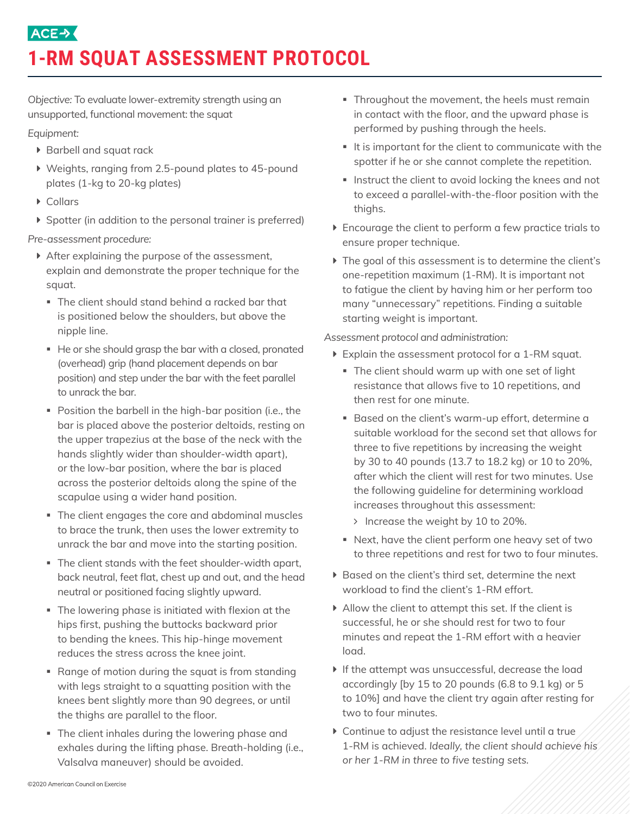## **ACE→ 1-RM SQUAT ASSESSMENT PROTOCOL**

*Objective:* To evaluate lower-extremity strength using an unsupported, functional movement: the squat

*Equipment:* 

- ▶ Barbell and squat rack
- $\blacktriangleright$  Weights, ranging from 2.5-pound plates to 45-pound plates (1-kg to 20-kg plates)
- $\blacktriangleright$  Collars
- $\triangleright$  Spotter (in addition to the personal trainer is preferred)

*Pre-assessment procedure:* 

- $\triangleright$  After explaining the purpose of the assessment, explain and demonstrate the proper technique for the squat.
	- The client should stand behind a racked bar that is positioned below the shoulders, but above the nipple line.
	- He or she should grasp the bar with a closed, pronated (overhead) grip (hand placement depends on bar position) and step under the bar with the feet parallel to unrack the bar.
	- Position the barbell in the high-bar position (i.e., the bar is placed above the posterior deltoids, resting on the upper trapezius at the base of the neck with the hands slightly wider than shoulder-width apart)*,*  or the low-bar position, where the bar is placed across the posterior deltoids along the spine of the scapulae using a wider hand position.
	- The client engages the core and abdominal muscles to brace the trunk, then uses the lower extremity to unrack the bar and move into the starting position.
	- The client stands with the feet shoulder-width apart, back neutral, feet flat, chest up and out, and the head neutral or positioned facing slightly upward.
	- The lowering phase is initiated with flexion at the hips first, pushing the buttocks backward prior to bending the knees. This hip-hinge movement reduces the stress across the knee joint.
	- Range of motion during the squat is from standing with legs straight to a squatting position with the knees bent slightly more than 90 degrees, or until the thighs are parallel to the floor.
	- **•** The client inhales during the lowering phase and exhales during the lifting phase. Breath-holding (i.e., Valsalva maneuver) should be avoided.
- Throughout the movement, the heels must remain in contact with the floor, and the upward phase is performed by pushing through the heels.
- It is important for the client to communicate with the spotter if he or she cannot complete the repetition.
- **Instruct the client to avoid locking the knees and not** to exceed a parallel-with-the-floor position with the thighs.
- $\triangleright$  Encourage the client to perform a few practice trials to ensure proper technique.
- $\triangleright$  The goal of this assessment is to determine the client's one-repetition maximum (1-RM). It is important not to fatigue the client by having him or her perform too many "unnecessary" repetitions. Finding a suitable starting weight is important.

*Assessment protocol and administration:* 

- $\blacktriangleright$  Explain the assessment protocol for a 1-RM squat.
	- The client should warm up with one set of light resistance that allows five to 10 repetitions, and then rest for one minute.
	- Based on the client's warm-up effort, determine a suitable workload for the second set that allows for three to five repetitions by increasing the weight by 30 to 40 pounds (13.7 to 18.2 kg) or 10 to 20%, after which the client will rest for two minutes. Use the following guideline for determining workload increases throughout this assessment:
		- > Increase the weight by 10 to 20%.
	- § Next, have the client perform one heavy set of two to three repetitions and rest for two to four minutes.
- ▶ Based on the client's third set, determine the next workload to find the client's 1-RM effort.
- $\blacktriangleright$  Allow the client to attempt this set. If the client is successful, he or she should rest for two to four minutes and repeat the 1-RM effort with a heavier load.
- $\blacktriangleright$  If the attempt was unsuccessful, decrease the load accordingly [by 15 to 20 pounds (6.8 to 9.1 kg) or 5 to 10%] and have the client try again after resting for two to four minutes.
- $\triangleright$  Continue to adjust the resistance level until a true 1-RM is achieved. *Ideally, the client should achieve his or her 1-RM in three to five testing sets.*